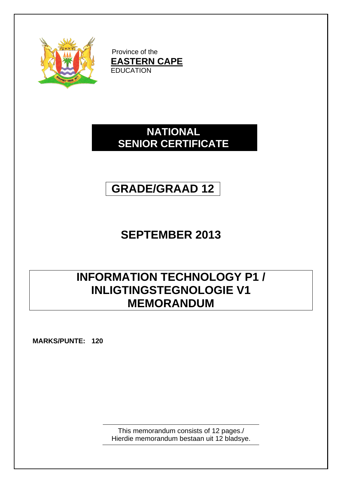

Province of the **EASTERN CAPE EDUCATION** 

### **NATIONAL SENIOR CERTIFICATE**

# **GRADE/GRAAD 12**

## **SEPTEMBER 2013**

## **INFORMATION TECHNOLOGY P1 / INLIGTINGSTEGNOLOGIE V1 MEMORANDUM**

**MARKS/PUNTE: 120**

This memorandum consists of 12 pages./ Hierdie memorandum bestaan uit 12 bladsye.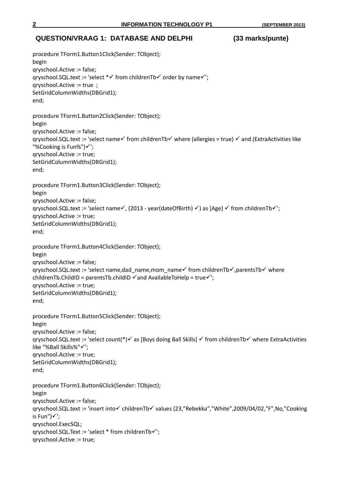### **QUESTION/VRAAG 1: DATABASE AND DELPHI (33 marks/punte)**

```
procedure TForm1.Button1Click(Sender: TObject);
begin
qryschool.Active := false;
qryschool.SQL.text := 'select *\checkmark from childrenTb*\checkmark order by name*\checkmark';
qryschool.Active := true ;
SetGridColumnWidths(DBGrid1);
end;
procedure TForm1.Button2Click(Sender: TObject);
begin
qryschool.Active := false;
qryschool.SQL.text := 'select name \checkmark from childrenTb \checkmark where (allergies = true) \checkmark and (ExtraActivities like
"%Cooking is Fun%")\checkmark';
qryschool.Active := true;
SetGridColumnWidths(DBGrid1);
end;
procedure TForm1.Button3Click(Sender: TObject);
begin
qryschool.Active := false;
qryschool.SQL.text := 'select name\checkmark, (2013 - year(dateOfBirth) \checkmark) as [Age] \checkmark from childrenTb\checkmark';
qryschool.Active := true;
SetGridColumnWidths(DBGrid1);
end;
procedure TForm1.Button4Click(Sender: TObject);
begin
qryschool.Active := false;
qryschool.SQL.text := 'select name,dad_name,mom_name from childrenTb\checkmark,parentsTb\checkmark where
childrenTb.ChildID = parentsTb.childID \checkmark and AvailableToHelp = true\checkmark<sup>'</sup>;
qryschool.Active := true;
SetGridColumnWidths(DBGrid1);
end;
procedure TForm1.Button5Click(Sender: TObject);
begin
qryschool.Active := false;
qryschool.SQL.text := 'select count(*)\checkmark as [Boys doing Ball Skills] \checkmark from childrenTb\checkmark where ExtraActivities
like "%Ball Skills%"√';
qryschool.Active := true;
SetGridColumnWidths(DBGrid1);
end;
procedure TForm1.Button6Click(Sender: TObject);
begin
qryschool.Active := false;
qryschool.SQL.text := 'insert into√ childrenTb√ values (23,"Rebekka","White",2009/04/02,"F",No,"Cooking
is Fun")\checkmark;
qryschool.ExecSQL;
qryschool.SQL.Text := 'select * from childrenTb\checkmark';
qryschool.Active := true;
```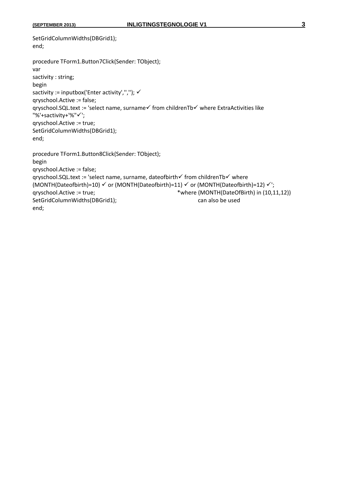```
SetGridColumnWidths(DBGrid1);
end;
procedure TForm1.Button7Click(Sender: TObject);
var
sactivity : string;
begin
sactivity := inputbox('Enter activity',","); \checkmarkqryschool.Active := false;
qry school.SQL.text := 'select name, surname \checkmark from childrenTb\checkmark where ExtraActivities like
"%'+sactivity+'%"√';
qryschool.Active := true;
SetGridColumnWidths(DBGrid1);
end;
procedure TForm1.Button8Click(Sender: TObject);
begin
qryschool.Active := false;
qryschool.SQL.text := 'select name, surname, dateofbirth√ from childrenTb√ where
(MONTH(Dateofbirth)=10) \checkmark or (MONTH(Dateofbirth)=11) \checkmark or (MONTH(Dateofbirth)=12) \checkmark';
qryschool.Active := true; *where (MONTH(DateOfBirth) in (10,11,12)) 
SetGridColumnWidths(DBGrid1); example also be used
end;
```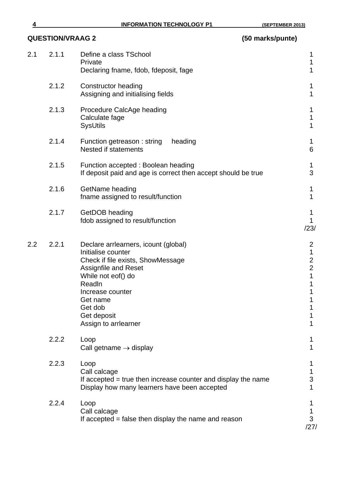| 2.1<br>2.1.1<br>Define a class TSchool<br>Private<br>Declaring fname, fdob, fdeposit, fage<br>2.1.2<br><b>Constructor heading</b><br>Assigning and initialising fields<br>2.1.3<br>Procedure CalcAge heading<br>Calculate fage<br><b>SysUtils</b><br>2.1.4<br>heading<br>Function getreason: string<br><b>Nested if statements</b><br>2.1.5<br>Function accepted : Boolean heading<br>If deposit paid and age is correct then accept should be true<br>2.1.6<br>GetName heading<br>fname assigned to result/function<br>2.1.7<br>GetDOB heading<br>fdob assigned to result/function | 1<br>1<br>1                                                                            |
|-------------------------------------------------------------------------------------------------------------------------------------------------------------------------------------------------------------------------------------------------------------------------------------------------------------------------------------------------------------------------------------------------------------------------------------------------------------------------------------------------------------------------------------------------------------------------------------|----------------------------------------------------------------------------------------|
|                                                                                                                                                                                                                                                                                                                                                                                                                                                                                                                                                                                     |                                                                                        |
|                                                                                                                                                                                                                                                                                                                                                                                                                                                                                                                                                                                     | 1<br>1                                                                                 |
|                                                                                                                                                                                                                                                                                                                                                                                                                                                                                                                                                                                     | 1<br>1<br>1                                                                            |
|                                                                                                                                                                                                                                                                                                                                                                                                                                                                                                                                                                                     | 1<br>6                                                                                 |
|                                                                                                                                                                                                                                                                                                                                                                                                                                                                                                                                                                                     | 1<br>3                                                                                 |
|                                                                                                                                                                                                                                                                                                                                                                                                                                                                                                                                                                                     | 1<br>$\mathbf{1}$                                                                      |
|                                                                                                                                                                                                                                                                                                                                                                                                                                                                                                                                                                                     | 1<br>$\mathbf{1}$<br>/23/                                                              |
| 2.2.1<br>2.2<br>Declare arriearners, icount (global)<br>Initialise counter<br>Check if file exists, ShowMessage<br><b>Assignfile and Reset</b><br>While not eof() do<br>ReadIn<br>Increase counter<br>Get name<br>Get dob<br>Get deposit<br>Assign to arriearner                                                                                                                                                                                                                                                                                                                    | $\overline{2}$<br>$\mathbf 1$<br>$\frac{2}{2}$<br>$\mathbf 1$<br>1<br>1<br>1<br>1<br>1 |
| 2.2.2<br>Loop<br>Call getname $\rightarrow$ display                                                                                                                                                                                                                                                                                                                                                                                                                                                                                                                                 | 1<br>1                                                                                 |
| 2.2.3<br>Loop<br>Call calcage<br>If accepted = true then increase counter and display the name<br>Display how many learners have been accepted                                                                                                                                                                                                                                                                                                                                                                                                                                      | Τ<br>1<br>3<br>1                                                                       |
| 2.2.4<br>Loop<br>Call calcage<br>If accepted = false then display the name and reason                                                                                                                                                                                                                                                                                                                                                                                                                                                                                               | 1<br>1<br>3<br>/27/                                                                    |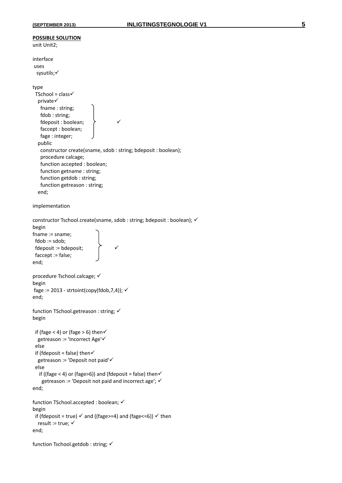```
POSSIBLE SOLUTION
unit Unit2;
interface
uses
  sysutils;
type
 TSchool = class \checkmark private
    fname : string;
    fdob : string;
   fdeposit : boolean; \rightarrow \rightarrow faccept : boolean;
    fage : integer;
   public
    constructor create(sname, sdob : string; bdeposit : boolean);
    procedure calcage;
    function accepted : boolean;
    function getname : string; 
    function getdob : string;
    function getreason : string;
   end;
implementation
constructor Tschool.create(sname, sdob : string; bdeposit : boolean); \checkmarkbegin
fname := sname;
  fdob := sdob;
  fdeposit := bdeposit; 
  faccept := false;
end;
procedure Tschool.calcage; 
begin
fage := 2013 - strtoint(copy(fdob, 7,4)); \checkmarkend;
function TSchool.getreason : string; 
begin
 if (fage < 4) or (fage > 6) then\checkmark getreason := 'Incorrect Age'
  else
 if (fdeposit = false) then\checkmark getreason := 'Deposit not paid'
  else
   if ((fage < 4) or (fage>6)) and (fdeposit = false) then\checkmarkgetreason := 'Deposit not paid and incorrect age'; \checkmarkend;
function TSchool.accepted : boolean; 
begin
 if (fdeposit = true) \checkmark and ((fage>=4) and (fage<=6)) \checkmark then
  result := true; \checkmarkend;
```
function Tschool.getdob : string;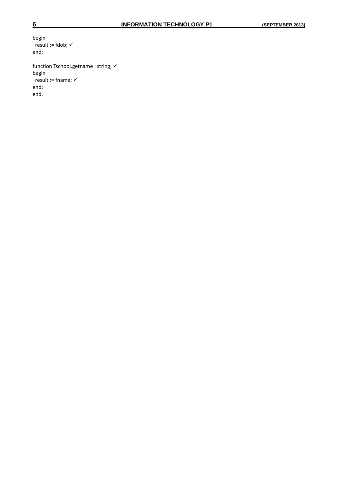begin result := fdob;  $\checkmark$ end; function Tschool.getname : string;  $\checkmark$ 

begin result := fname;  $\checkmark$ end; end.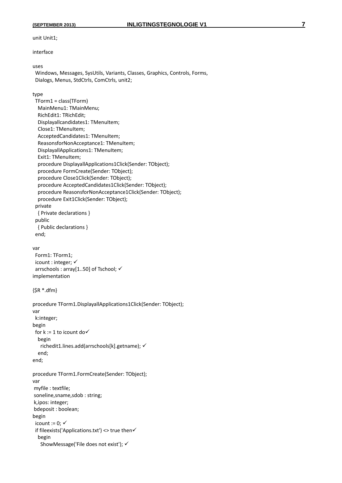unit Unit1;

interface

#### uses

 Windows, Messages, SysUtils, Variants, Classes, Graphics, Controls, Forms, Dialogs, Menus, StdCtrls, ComCtrls, unit2;

#### type

```
 TForm1 = class(TForm)
  MainMenu1: TMainMenu;
  RichEdit1: TRichEdit;
  Displayallcandidates1: TMenuItem;
 Close1: TMenuItem;
 AcceptedCandidates1: TMenuItem;
  ReasonsforNonAcceptance1: TMenuItem;
 DisplayallApplications1: TMenuItem;
 Exit1: TMenuItem;
  procedure DisplayallApplications1Click(Sender: TObject);
  procedure FormCreate(Sender: TObject);
  procedure Close1Click(Sender: TObject);
  procedure AcceptedCandidates1Click(Sender: TObject);
  procedure ReasonsforNonAcceptance1Click(Sender: TObject);
  procedure Exit1Click(Sender: TObject);
 private
  { Private declarations }
 public
  { Public declarations }
 end;
```
#### var

 Form1: TForm1; icount : integer;  $\checkmark$  arrschools : array[1..50] of Tschool; implementation

```
{$R *.dfm}
```

```
procedure TForm1.DisplayallApplications1Click(Sender: TObject);
var
  k:integer;
begin
 for k := 1 to icount do \checkmark begin
    richedit1.lines.add(arrschools[k].getname); 
   end;
end;
procedure TForm1.FormCreate(Sender: TObject);
var
myfile : textfile;
soneline,sname,sdob : string;
k,ipos: integer;
bdeposit : boolean;
begin
 icount := 0: \checkmark if fileexists('Applications.txt') <> true then
   begin
    ShowMessage('File does not exist');
```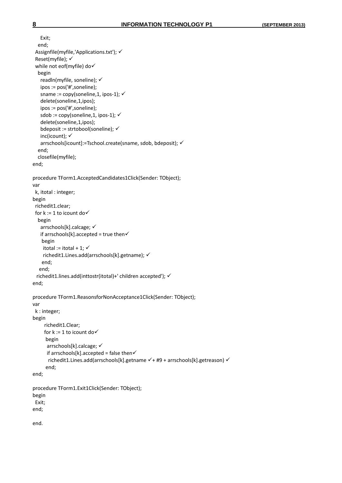```
 Exit;
   end;
  Assignfile(myfile,'Applications.txt'); 
  Reset(myfile); 
  while not eof(myfile) do
   begin
    readln(myfile, soneline); 
    ipos := pos('#',soneline);
   sname := copy(soneline,1, ipos-1); \checkmark delete(soneline,1,ipos);
    ipos := pos('#',soneline);
   sdob := copy(soneline,1, ipos-1); \checkmark delete(soneline,1,ipos);
    bdeposit := strtobool(soneline); 
   inc(icount); \checkmark arrschools[icount]:=Tschool.create(sname, sdob, bdeposit); 
   end;
   closefile(myfile);
end;
procedure TForm1.AcceptedCandidates1Click(Sender: TObject);
var
  k, itotal : integer;
begin
  richedit1.clear;
 for k := 1 to icount do \checkmark begin
    arrschools[k].calcage; 
   if arrschools[k].accepted = true then\checkmark begin
    itotal := itotal + 1; \checkmark richedit1.Lines.add(arrschools[k].getname); 
     end;
    end;
   richedit1.lines.add(inttostr(itotal)+' children accepted'); 
end;
procedure TForm1.ReasonsforNonAcceptance1Click(Sender: TObject);
var
  k : integer;
begin
      richedit1.Clear;
     for k := 1 to icount do \checkmark begin
       arrschools[k].calcage; 
      if arrschools[k].accepted = false then\checkmarkrichedit1.Lines.add(arrschools[k].getname \checkmark + #9 + arrschools[k].getreason) \checkmark end;
end;
procedure TForm1.Exit1Click(Sender: TObject);
begin
  Exit;
end;
end.
```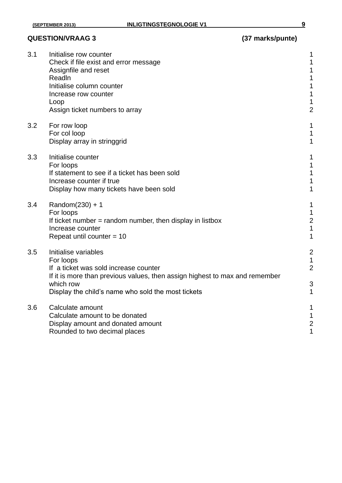### **QUESTION/VRAAG 3 (37 marks/punte)**

| 3.1 | Initialise row counter<br>Check if file exist and error message<br>Assignfile and reset<br>ReadIn<br>Initialise column counter<br>Increase row counter<br>Loop<br>Assign ticket numbers to array                             | 1<br>1<br>1<br>$\overline{c}$                   |
|-----|------------------------------------------------------------------------------------------------------------------------------------------------------------------------------------------------------------------------------|-------------------------------------------------|
| 3.2 | For row loop<br>For col loop<br>Display array in stringgrid                                                                                                                                                                  | 1<br>1<br>1                                     |
| 3.3 | Initialise counter<br>For loops<br>If statement to see if a ticket has been sold<br>Increase counter if true<br>Display how many tickets have been sold                                                                      | 1<br>1<br>1<br>1<br>1                           |
| 3.4 | Random $(230) + 1$<br>For loops<br>If ticket number $=$ random number, then display in listbox<br>Increase counter<br>Repeat until counter $= 10$                                                                            | 1<br>1<br>$\overline{c}$                        |
| 3.5 | Initialise variables<br>For loops<br>If a ticket was sold increase counter<br>If it is more than previous values, then assign highest to max and remember<br>which row<br>Display the child's name who sold the most tickets | $\overline{c}$<br>1<br>$\overline{2}$<br>3<br>1 |
| 3.6 | Calculate amount<br>Calculate amount to be donated<br>Display amount and donated amount<br>Rounded to two decimal places                                                                                                     | 1<br>1<br>$\overline{c}$<br>1                   |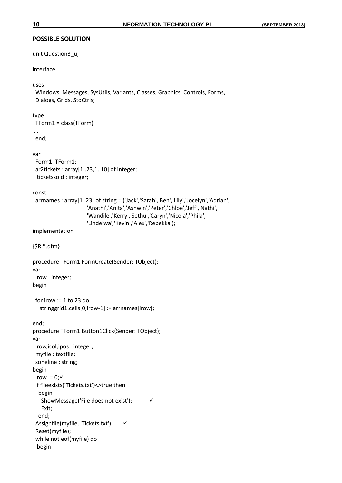### **POSSIBLE SOLUTION**

unit Question3\_u;

#### interface

#### uses

 Windows, Messages, SysUtils, Variants, Classes, Graphics, Controls, Forms, Dialogs, Grids, StdCtrls;

#### type

```
 TForm1 = class(TForm)
…
```
end;

#### var

```
 Form1: TForm1;
 ar2tickets : array[1..23,1..10] of integer;
 iticketssold : integer;
```
const

```
 arrnames : array[1..23] of string = ('Jack','Sarah','Ben','Lily','Jocelyn','Adrian',
                       'Anathi','Anita','Ashwin','Peter','Chloe','Jeff','Nathi',
                       'Wandile','Kerry','Sethu','Caryn','Nicola','Phila',
                       'Lindelwa','Kevin','Alex','Rebekka');
```
implementation

{\$R \*.dfm}

```
procedure TForm1.FormCreate(Sender: TObject);
var
  irow : integer;
begin
```

```
 for irow := 1 to 23 do
  stringgrid1.cells[0,irow-1] := arrnames[irow];
```

```
end;
procedure TForm1.Button1Click(Sender: TObject);
var
  irow,icol,ipos : integer;
  myfile : textfile;
  soneline : string;
begin
 irow := 0; \checkmark if fileexists('Tickets.txt')<>true then
   begin
    ShowMessage('File does not exist'); 
    Exit;
   end;
  Assignfile(myfile, 'Tickets.txt'); 
  Reset(myfile);
  while not eof(myfile) do
  begin
```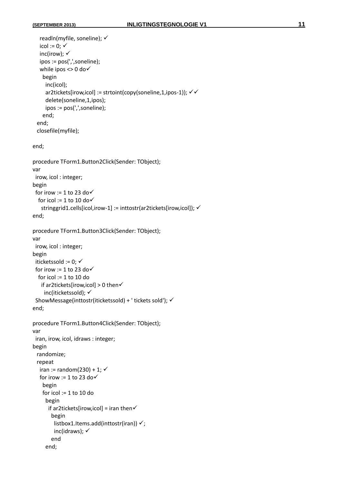end;

```
 readln(myfile, soneline); 
   icol := 0; \checkmarkinc(irow); \checkmark ipos := pos(',',soneline);
   while ipos \lt 0 do\checkmark begin
      inc(icol);
     ar2tickets[irow,icol] := strtoint(copy(soneline,1,ipos-1)); \checkmark delete(soneline,1,ipos);
      ipos := pos(',',soneline);
     end;
   end;
  closefile(myfile);
end;
procedure TForm1.Button2Click(Sender: TObject);
var
  irow, icol : integer;
begin
 for irow := 1 to 23 do \checkmarkfor icol := 1 to 10 do \checkmarkstringgrid1.cells[icol,irow-1] := inttostr(ar2tickets[irow,icol]); √
end; 
procedure TForm1.Button3Click(Sender: TObject);
var
  irow, icol : integer;
begin
 iticketssold := 0; \checkmarkfor irow := 1 to 23 do \checkmark for icol := 1 to 10 do
   if ar2tickets[irow,icol] > 0 then\checkmark inc(iticketssold); 
  ShowMessage(inttostr(iticketssold) + ' tickets sold'); 
end;
procedure TForm1.Button4Click(Sender: TObject);
var
  iran, irow, icol, idraws : integer;
begin
  randomize;
   repeat
   iran := random(230) + 1; \checkmarkfor irow := 1 to 23 do\checkmark begin
     for icol := 1 to 10 do
      begin
       if ar2tickets[irow,icol] = iran then\checkmark begin
         listbox1.Items.add(inttostr(iran)) \checkmark;
         inc(idraws); \checkmark end
```